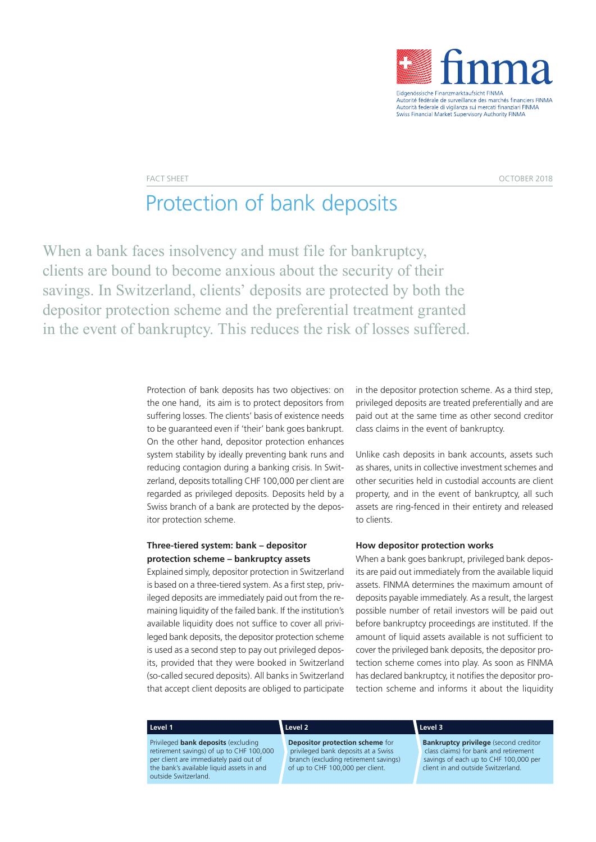

FACT SHEET OCTOBER 2018

# Protection of bank deposits

When a bank faces insolvency and must file for bankruptcy, clients are bound to become anxious about the security of their savings. In Switzerland, clients' deposits are protected by both the depositor protection scheme and the preferential treatment granted in the event of bankruptcy. This reduces the risk of losses suffered.

> Protection of bank deposits has two objectives: on the one hand, its aim is to protect depositors from suffering losses. The clients' basis of existence needs to be guaranteed even if 'their' bank goes bankrupt. On the other hand, depositor protection enhances system stability by ideally preventing bank runs and reducing contagion during a banking crisis. In Switzerland, deposits totalling CHF 100,000 per client are regarded as privileged deposits. Deposits held by a Swiss branch of a bank are protected by the depositor protection scheme.

## **Three-tiered system: bank – depositor protection scheme – bankruptcy assets**

Explained simply, depositor protection in Switzerland is based on a three-tiered system. As a first step, privileged deposits are immediately paid out from the remaining liquidity of the failed bank. If the institution's available liquidity does not suffice to cover all privileged bank deposits, the depositor protection scheme is used as a second step to pay out privileged deposits, provided that they were booked in Switzerland (so-called secured deposits). All banks in Switzerland that accept client deposits are obliged to participate

in the depositor protection scheme. As a third step, privileged deposits are treated preferentially and are paid out at the same time as other second creditor class claims in the event of bankruptcy.

Unlike cash deposits in bank accounts, assets such as shares, units in collective investment schemes and other securities held in custodial accounts are client property, and in the event of bankruptcy, all such assets are ring-fenced in their entirety and released to clients.

### **How depositor protection works**

When a bank goes bankrupt, privileged bank deposits are paid out immediately from the available liquid assets. FINMA determines the maximum amount of deposits payable immediately. As a result, the largest possible number of retail investors will be paid out before bankruptcy proceedings are instituted. If the amount of liquid assets available is not sufficient to cover the privileged bank deposits, the depositor protection scheme comes into play. As soon as FINMA has declared bankruptcy, it notifies the depositor protection scheme and informs it about the liquidity

### Level 1 **Level 1 Stuffe 2 Stuffe 3 <b>Stuffe 3 Stuffe 3 Stuffe 3 Stuffe 3 Stuffe 3 Stuffe 3 Stuffe 3**

Privileged **bank deposits** (excluding retirement savings) of up to CHF 100,000 per client are immediately paid out of the bank's available liquid assets in and outside Switzerland.

### **Level 3**

**Depositor protection scheme** for privileged bank deposits at a Swiss branch (excluding retirement savings) of up to CHF 100,000 per client.

**Bankruptcy privilege** (second creditor class claims) for bank and retirement savings of each up to CHF 100,000 per client in and outside Switzerland.